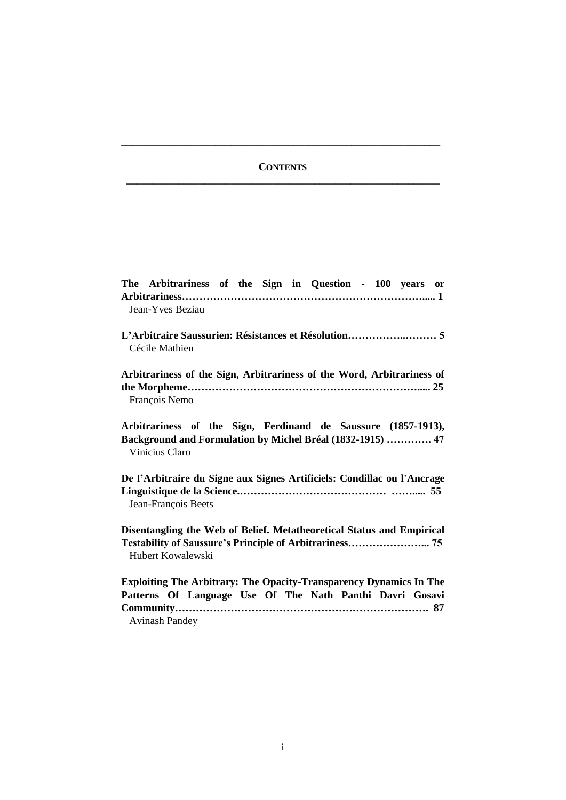# **CONTENTS \_\_\_\_\_\_\_\_\_\_\_\_\_\_\_\_\_\_\_\_\_\_\_\_\_\_\_\_\_\_\_\_\_\_\_\_\_\_\_\_\_\_\_\_\_\_\_\_\_\_\_\_\_\_\_\_\_\_\_\_**

**\_\_\_\_\_\_\_\_\_\_\_\_\_\_\_\_\_\_\_\_\_\_\_\_\_\_\_\_\_\_\_\_\_\_\_\_\_\_\_\_\_\_\_\_\_\_\_\_\_\_\_\_\_\_\_\_\_\_\_\_\_**

| The Arbitrariness of the Sign in Question - 100 years or<br>Jean-Yves Beziau                                                                                   |
|----------------------------------------------------------------------------------------------------------------------------------------------------------------|
| Cécile Mathieu                                                                                                                                                 |
| Arbitrariness of the Sign, Arbitrariness of the Word, Arbitrariness of<br>François Nemo                                                                        |
| Arbitrariness of the Sign, Ferdinand de Saussure (1857-1913),<br>Background and Formulation by Michel Bréal (1832-1915)  47<br>Vinicius Claro                  |
| De l'Arbitraire du Signe aux Signes Artificiels: Condillac ou l'Ancrage<br>Jean-François Beets                                                                 |
| Disentangling the Web of Belief. Metatheoretical Status and Empirical<br>Hubert Kowalewski                                                                     |
| <b>Exploiting The Arbitrary: The Opacity-Transparency Dynamics In The</b><br>Patterns Of Language Use Of The Nath Panthi Davri Gosavi<br><b>Avinash Pandey</b> |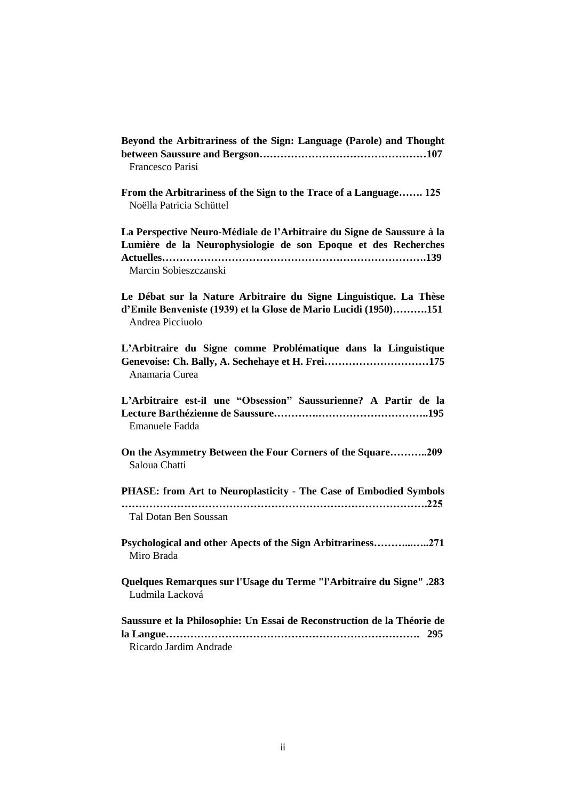**Beyond the Arbitrariness of the Sign: Language (Parole) and Thought between Saussure and Bergson…………………………………………107** Francesco Parisi

**From the Arbitrariness of the Sign to the Trace of a Language……. 125** Noëlla Patricia Schüttel

**La Perspective Neuro-Médiale de l'Arbitraire du Signe de Saussure à la Lumière de la Neurophysiologie de son Epoque et des Recherches Actuelles………………………………………………………………….139** Marcin Sobieszczanski

**Le Débat sur la Nature Arbitraire du Signe Linguistique. La Thèse d'Emile Benveniste (1939) et la Glose de Mario Lucidi (1950)……….151** Andrea Picciuolo

**L'Arbitraire du Signe comme Problématique dans la Linguistique Genevoise: Ch. Bally, A. Sechehaye et H. Frei…………………………175** Anamaria Curea

**L'Arbitraire est-il une "Obsession" Saussurienne? A Partir de la Lecture Barthézienne de Saussure………….…………………………..195** Emanuele Fadda

**On the Asymmetry Between the Four Corners of the Square………..209** Saloua Chatti

**PHASE: from Art to Neuroplasticity - The Case of Embodied Symbols …………………………………………………………………………….225** Tal Dotan Ben Soussan

**Psychological and other Apects of the Sign Arbitrariness………...…..271** Miro Brada

**Quelques Remarques sur l'Usage du Terme "l'Arbitraire du Signe" .283** Ludmila Lacková

**Saussure et la Philosophie: Un Essai de Reconstruction de la Théorie de la Langue………………………………………………………………. 295** Ricardo Jardim Andrade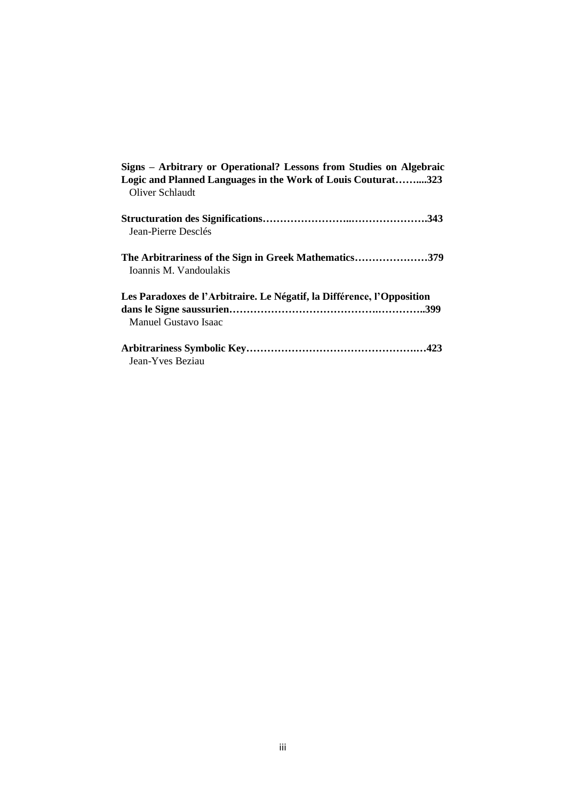| Signs – Arbitrary or Operational? Lessons from Studies on Algebraic<br>Logic and Planned Languages in the Work of Louis Couturat323<br>Oliver Schlaudt |
|--------------------------------------------------------------------------------------------------------------------------------------------------------|
| Jean-Pierre Desclés                                                                                                                                    |
| The Arbitrariness of the Sign in Greek Mathematics379<br>Ioannis M. Vandoulakis                                                                        |
| Les Paradoxes de l'Arbitraire. Le Négatif, la Différence, l'Opposition<br>Manuel Gustavo Isaac                                                         |
| Jean-Yves Beziau                                                                                                                                       |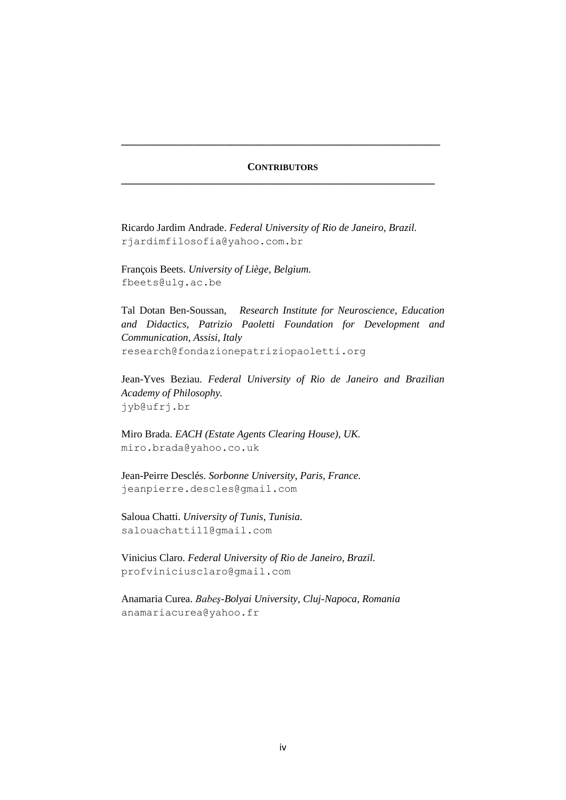## **CONTRIBUTORS \_\_\_\_\_\_\_\_\_\_\_\_\_\_\_\_\_\_\_\_\_\_\_\_\_\_\_\_\_\_\_\_\_\_\_\_\_\_\_\_\_\_\_\_\_\_\_\_\_\_\_\_\_\_\_\_\_\_\_\_**

**\_\_\_\_\_\_\_\_\_\_\_\_\_\_\_\_\_\_\_\_\_\_\_\_\_\_\_\_\_\_\_\_\_\_\_\_\_\_\_\_\_\_\_\_\_\_\_\_\_\_\_\_\_\_\_\_\_\_\_\_\_**

Ricardo Jardim Andrade. *Federal University of Rio de Janeiro, Brazil.* rjardimfilosofia@yahoo.com.br

François Beets. *University of Liège, Belgium.* fbeets@ulg.ac.be

Tal Dotan Ben-Soussan, *Research Institute for Neuroscience, Education and Didactics, Patrizio Paoletti Foundation for Development and Communication, Assisi, Italy* research@fondazionepatriziopaoletti.org

Jean-Yves Beziau. *Federal University of Rio de Janeiro and Brazilian Academy of Philosophy.* jyb@ufrj.br

Miro Brada. *EACH (Estate Agents Clearing House), UK.* miro.brada@yahoo.co.uk

Jean-Peirre Desclés. *Sorbonne University, Paris, France.* jeanpierre.descles@gmail.com

Saloua Chatti. *University of Tunis, Tunisia.* salouachatti11@gmail.com

Vinicius Claro. *Federal University of Rio de Janeiro, Brazil.* profviniciusclaro@gmail.com

Anamaria Curea. *Babeş-Bolyai University, Cluj-Napoca, Romania* anamariacurea@yahoo.fr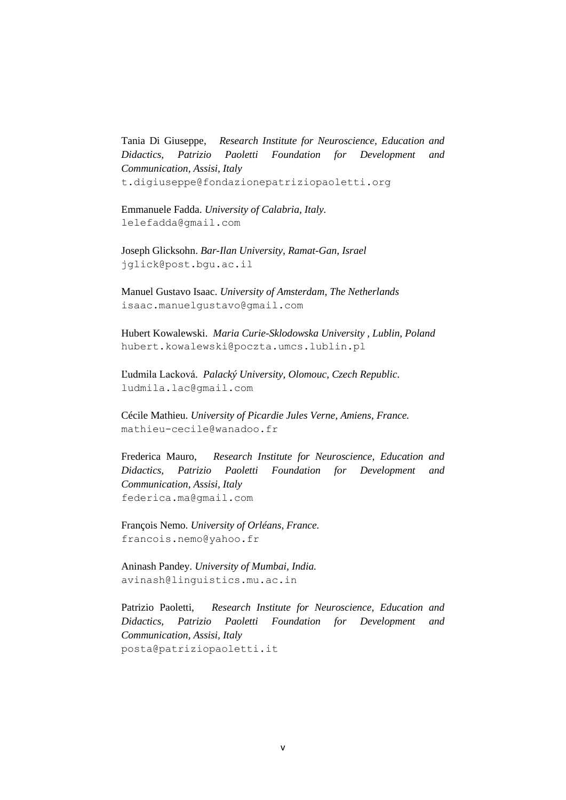Tania Di Giuseppe, *Research Institute for Neuroscience, Education and Didactics, Patrizio Paoletti Foundation for Development and Communication, Assisi, Italy* t.digiuseppe@fondazionepatriziopaoletti.org

Emmanuele Fadda. *University of Calabria, Italy.* lelefadda@gmail.com

Joseph Glicksohn. *Bar-Ilan University, Ramat-Gan, Israel* jglick@post.bgu.ac.il

Manuel Gustavo Isaac. *University of Amsterdam, The Netherlands* isaac.manuelgustavo@gmail.com

Hubert Kowalewski. *Maria Curie-Sklodowska University , Lublin, Poland* hubert.kowalewski@poczta.umcs.lublin.pl

Ľudmila Lacková. *Palacký University, Olomouc, Czech Republic.* ludmila.lac@gmail.com

Cécile Mathieu. *University of Picardie Jules Verne, Amiens, France.* mathieu-cecile@wanadoo.fr

Frederica Mauro, *Research Institute for Neuroscience, Education and Didactics, Patrizio Paoletti Foundation for Development and Communication, Assisi, Italy* federica.ma@gmail.com

François Nemo. *University of Orléans, France.* francois.nemo@yahoo.fr

Aninash Pandey. *University of Mumbai, India.* avinash@linguistics.mu.ac.in

Patrizio Paoletti, *Research Institute for Neuroscience, Education and Didactics, Patrizio Paoletti Foundation for Development and Communication, Assisi, Italy* posta@patriziopaoletti.it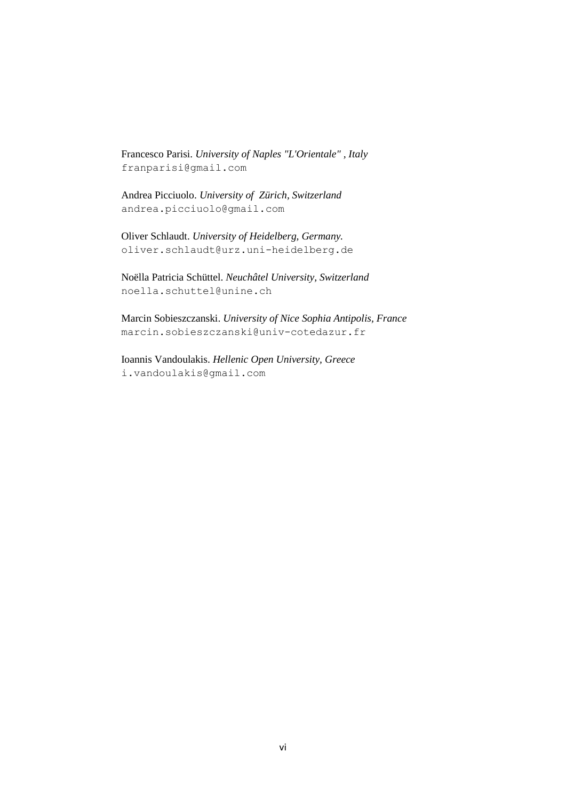Francesco Parisi. *University of Naples "L'Orientale" , Italy* franparisi@gmail.com

Andrea Picciuolo. *University of Zürich, Switzerland* andrea.picciuolo@gmail.com

Oliver Schlaudt. *University of Heidelberg, Germany.* oliver.schlaudt@urz.uni-heidelberg.de

Noëlla Patricia Schüttel. *Neuchâtel University, Switzerland* [noella.schuttel@unine.ch](mailto:noella.schuttel@unine.ch)

Marcin Sobieszczanski. *University of Nice Sophia Antipolis, France* marcin.sobieszczanski@univ-cotedazur.fr

Ioannis Vandoulakis. *Hellenic Open University, Greece* i.vandoulakis@gmail.com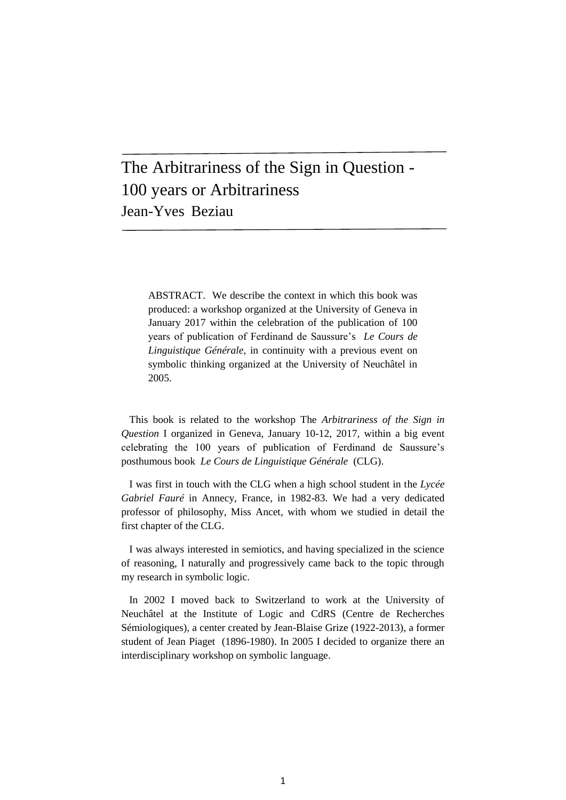# The Arbitrariness of the Sign in Question - 100 years or Arbitrariness Jean-Yves Beziau

 $\overline{a}$ 

ABSTRACT. We describe the context in which this book was produced: a workshop organized at the University of Geneva in January 2017 within the celebration of the publication of 100 years of publication of Ferdinand de Saussure's *Le Cours de Linguistique Générale*, in continuity with a previous event on symbolic thinking organized at the University of Neuchâtel in 2005.

This book is related to the workshop The *Arbitrariness of the Sign in Question* I organized in Geneva, January 10-12, 2017, within a big event celebrating the 100 years of publication of Ferdinand de Saussure's posthumous book *Le Cours de Linguistique Générale* (CLG).

I was first in touch with the CLG when a high school student in the *Lycée Gabriel Fauré* in Annecy, France, in 1982-83. We had a very dedicated professor of philosophy, Miss Ancet, with whom we studied in detail the first chapter of the CLG.

I was always interested in semiotics, and having specialized in the science of reasoning, I naturally and progressively came back to the topic through my research in symbolic logic.

In 2002 I moved back to Switzerland to work at the University of Neuchâtel at the Institute of Logic and CdRS (Centre de Recherches Sémiologiques), a center created by Jean-Blaise Grize (1922-2013), a former student of Jean Piaget (1896-1980). In 2005 I decided to organize there an interdisciplinary workshop on symbolic language.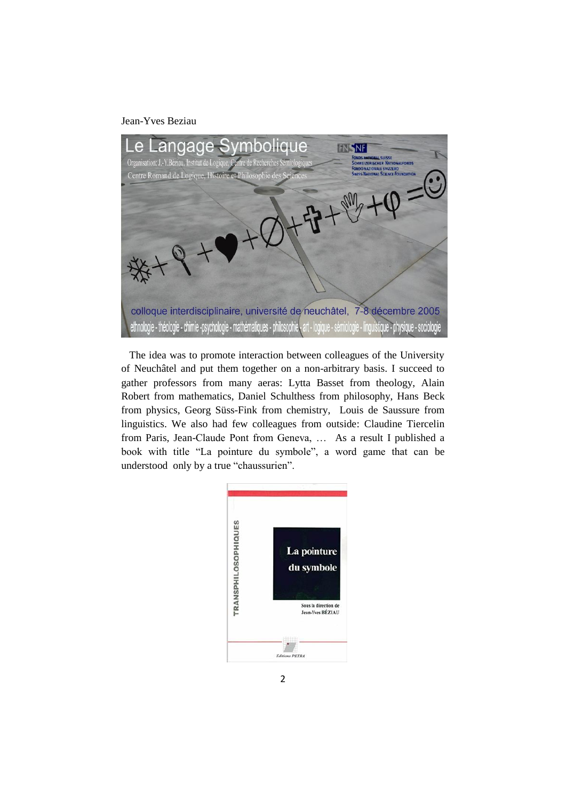#### Jean-Yves Beziau



The idea was to promote interaction between colleagues of the University of Neuchâtel and put them together on a non-arbitrary basis. I succeed to gather professors from many aeras: Lytta Basset from theology, Alain Robert from mathematics, Daniel Schulthess from philosophy, Hans Beck from physics, Georg Süss-Fink from chemistry, Louis de Saussure from linguistics. We also had few colleagues from outside: Claudine Tiercelin from Paris, Jean-Claude Pont from Geneva, … As a result I published a book with title "La pointure du symbole", a word game that can be understood only by a true "chaussurien".

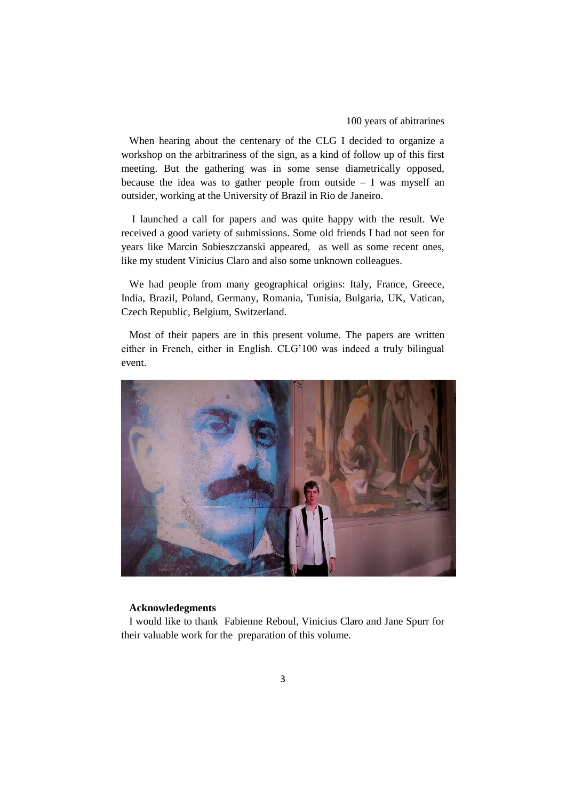#### 100 years of abitrarines

When hearing about the centenary of the CLG I decided to organize a workshop on the arbitrariness of the sign, as a kind of follow up of this first meeting. But the gathering was in some sense diametrically opposed, because the idea was to gather people from outside  $- I$  was myself an outsider, working at the University of Brazil in Rio de Janeiro.

I launched a call for papers and was quite happy with the result. We received a good variety of submissions. Some old friends I had not seen for years like Marcin Sobieszczanski appeared, as well as some recent ones, like my student Vinicius Claro and also some unknown colleagues.

We had people from many geographical origins: Italy, France, Greece, India, Brazil, Poland, Germany, Romania, Tunisia, Bulgaria, UK, Vatican, Czech Republic, Belgium, Switzerland.

Most of their papers are in this present volume. The papers are written either in French, either in English. CLG'100 was indeed a truly bilingual event.



#### **Acknowledegments**

I would like to thank Fabienne Reboul, Vinicius Claro and Jane Spurr for their valuable work for the preparation of this volume.